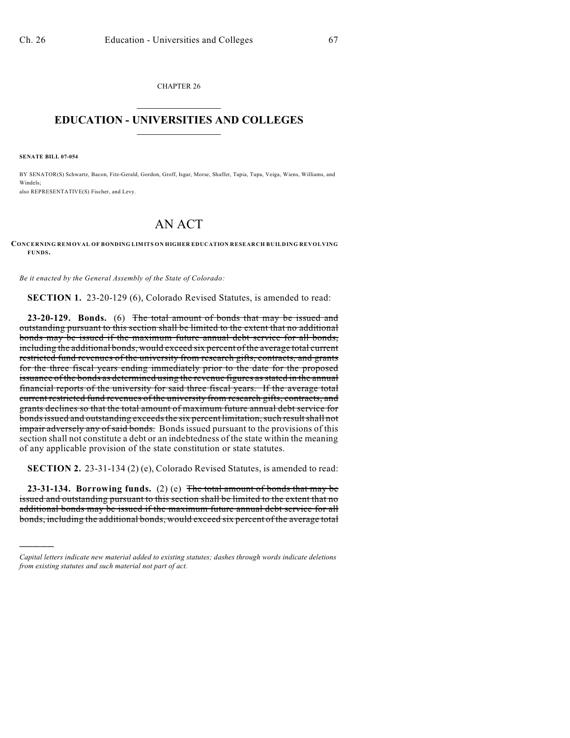CHAPTER 26  $\overline{\phantom{a}}$  . The set of the set of the set of the set of the set of the set of the set of the set of the set of the set of the set of the set of the set of the set of the set of the set of the set of the set of the set o

## **EDUCATION - UNIVERSITIES AND COLLEGES**  $\_$

**SENATE BILL 07-054**

)))))

BY SENATOR(S) Schwartz, Bacon, Fitz-Gerald, Gordon, Groff, Isgar, Morse, Shaffer, Tapia, Tupa, Veiga, Wiens, Williams, and Windels; also REPRESENTATIVE(S) Fischer, and Levy.

## AN ACT

**CONCERNING REMOVAL OF BONDING LIMITS ON HIGHER EDUCATION RESEARCH BUILDING REVOLVING FUNDS.**

*Be it enacted by the General Assembly of the State of Colorado:*

**SECTION 1.** 23-20-129 (6), Colorado Revised Statutes, is amended to read:

**23-20-129. Bonds.** (6) The total amount of bonds that may be issued and outstanding pursuant to this section shall be limited to the extent that no additional bonds may be issued if the maximum future annual debt service for all bonds, including the additional bonds, would exceed six percent of the average total current restricted fund revenues of the university from research gifts, contracts, and grants for the three fiscal years ending immediately prior to the date for the proposed issuance of the bonds as determined using the revenue figures as stated in the annual financial reports of the university for said three fiscal years. If the average total current restricted fund revenues of the university from research gifts, contracts, and grants declines so that the total amount of maximum future annual debt service for bonds issued and outstanding exceeds the six percent limitation, such result shall not impair adversely any of said bonds. Bonds issued pursuant to the provisions of this section shall not constitute a debt or an indebtedness of the state within the meaning of any applicable provision of the state constitution or state statutes.

**SECTION 2.** 23-31-134 (2) (e), Colorado Revised Statutes, is amended to read:

**23-31-134. Borrowing funds.** (2) (e) The total amount of bonds that may be issued and outstanding pursuant to this section shall be limited to the extent that no additional bonds may be issued if the maximum future annual debt service for all bonds, including the additional bonds, would exceed six percent of the average total

*Capital letters indicate new material added to existing statutes; dashes through words indicate deletions from existing statutes and such material not part of act.*